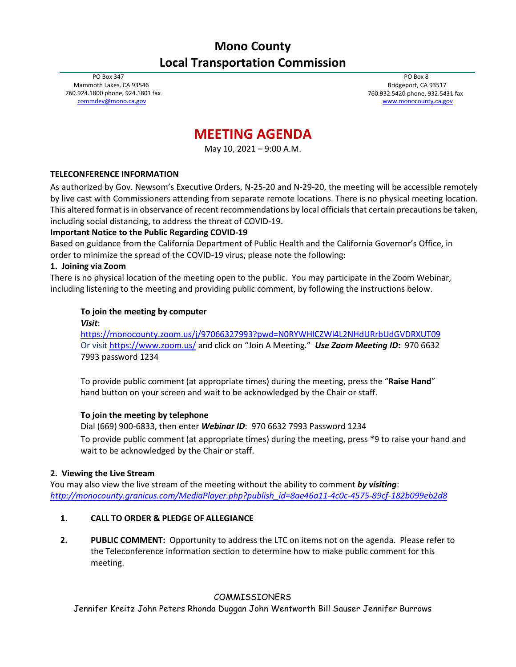## **Mono County Local Transportation Commission**

PO Box 347 Mammoth Lakes, CA 93546 760.924.1800 phone, 924.1801 fax [commdev@mono.ca.gov](mailto:commdev@mono.ca.gov)

PO Box 8 Bridgeport, CA 93517 760.932.5420 phone, 932.5431 fax [www.monocounty.ca.gov](http://www.monocounty.ca.gov/)

# **MEETING AGENDA**

May 10, 2021 – 9:00 A.M.

## **TELECONFERENCE INFORMATION**

As authorized by Gov. Newsom's Executive Orders, N-25-20 and N-29-20, the meeting will be accessible remotely by live cast with Commissioners attending from separate remote locations. There is no physical meeting location. This altered format is in observance of recent recommendations by local officials that certain precautions be taken, including social distancing, to address the threat of COVID-19.

## **Important Notice to the Public Regarding COVID-19**

Based on guidance from the California Department of Public Health and the California Governor's Office, in order to minimize the spread of the COVID-19 virus, please note the following:

## **1. Joining via Zoom**

There is no physical location of the meeting open to the public. You may participate in the Zoom Webinar, including listening to the meeting and providing public comment, by following the instructions below.

## **To join the meeting by computer**

*Visit*:

<https://monocounty.zoom.us/j/97066327993?pwd=N0RYWHlCZWl4L2NHdURrbUdGVDRXUT09> Or visit<https://www.zoom.us/> and click on "Join A Meeting."*Use Zoom Meeting ID***:** 970 6632 7993 password 1234

To provide public comment (at appropriate times) during the meeting, press the "**Raise Hand**" hand button on your screen and wait to be acknowledged by the Chair or staff.

#### **To join the meeting by telephone**

Dial (669) 900-6833, then enter *Webinar ID*: 970 6632 7993 Password 1234 To provide public comment (at appropriate times) during the meeting, press \*9 to raise your hand and wait to be acknowledged by the Chair or staff.

#### **2. Viewing the Live Stream**

You may also view the live stream of the meeting without the ability to comment *by visiting*: *[http://monocounty.granicus.com/MediaPlayer.php?publish\\_id=8ae46a11-4c0c-4575-89cf-182b099eb2d8](http://monocounty.granicus.com/MediaPlayer.php?publish_id=8ae46a11-4c0c-4575-89cf-182b099eb2d8)*

## **1. CALL TO ORDER & PLEDGE OF ALLEGIANCE**

**2. PUBLIC COMMENT:** Opportunity to address the LTC on items not on the agenda. Please refer to the Teleconference information section to determine how to make public comment for this meeting.

## COMMISSIONERS

Jennifer Kreitz John Peters Rhonda Duggan John Wentworth Bill Sauser Jennifer Burrows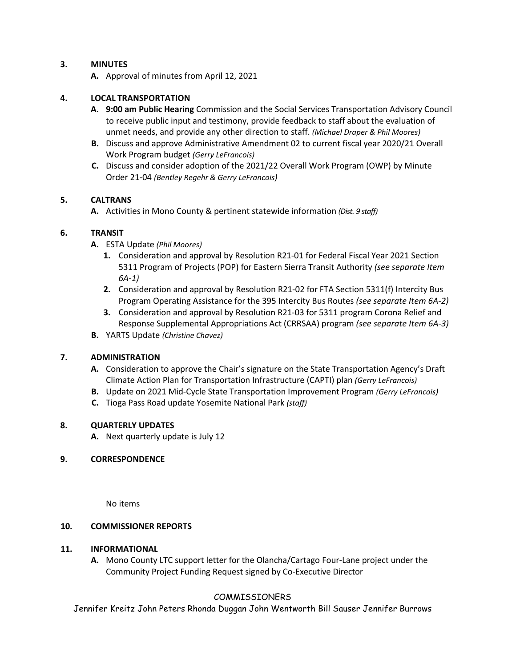## **3. MINUTES**

**A.** Approval of minutes from April 12, 2021

#### **4. LOCAL TRANSPORTATION**

- **A. 9:00 am Public Hearing** Commission and the Social Services Transportation Advisory Council to receive public input and testimony, provide feedback to staff about the evaluation of unmet needs, and provide any other direction to staff. *(Michael Draper & Phil Moores)*
- **B.** Discuss and approve Administrative Amendment 02 to current fiscal year 2020/21 Overall Work Program budget *(Gerry LeFrancois)*
- **C.** Discuss and consider adoption of the 2021/22 Overall Work Program (OWP) by Minute Order 21-04 *(Bentley Regehr & Gerry LeFrancois)*

#### **5. CALTRANS**

**A.** Activities in Mono County & pertinent statewide information *(Dist. 9 staff)*

#### **6. TRANSIT**

- **A.** ESTA Update *(Phil Moores)*
	- **1.** Consideration and approval by Resolution R21-01 for Federal Fiscal Year 2021 Section 5311 Program of Projects (POP) for Eastern Sierra Transit Authority *(see separate Item 6A-1)*
	- **2.** Consideration and approval by Resolution R21-02 for FTA Section 5311(f) Intercity Bus Program Operating Assistance for the 395 Intercity Bus Routes *(see separate Item 6A-2)*
	- **3.** Consideration and approval by Resolution R21-03 for 5311 program Corona Relief and Response Supplemental Appropriations Act (CRRSAA) program *(see separate Item 6A-3)*
- **B.** YARTS Update *(Christine Chavez)*

#### **7. ADMINISTRATION**

- **A.** Consideration to approve the Chair's signature on the State Transportation Agency's Draft Climate Action Plan for Transportation Infrastructure (CAPTI) plan *(Gerry LeFrancois)*
- **B.** Update on 2021 Mid-Cycle State Transportation Improvement Program *(Gerry LeFrancois)*
- **C.** Tioga Pass Road update Yosemite National Park *(staff)*

#### **8. QUARTERLY UPDATES**

**A.** Next quarterly update is July 12

#### **9. CORRESPONDENCE**

No items

#### **10. COMMISSIONER REPORTS**

#### **11. INFORMATIONAL**

**A.** Mono County LTC support letter for the Olancha/Cartago Four-Lane project under the Community Project Funding Request signed by Co-Executive Director

#### COMMISSIONERS

Jennifer Kreitz John Peters Rhonda Duggan John Wentworth Bill Sauser Jennifer Burrows